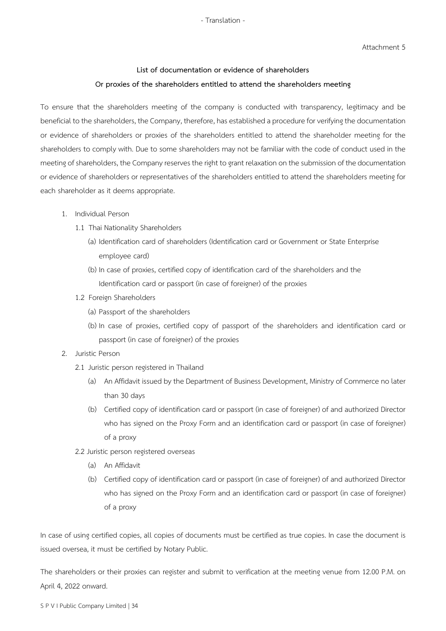- Translation -

Attachment 5

## **List of documentation or evidence of shareholders Or proxies of the shareholders entitled to attend the shareholders meeting**

To ensure that the shareholders meeting of the company is conducted with transparency, legitimacy and be beneficial to the shareholders, the Company, therefore, has established a procedure for verifying the documentation or evidence of shareholders or proxies of the shareholders entitled to attend the shareholder meeting for the shareholders to comply with. Due to some shareholders may not be familiar with the code of conduct used in the meeting of shareholders, the Company reserves the right to grant relaxation on the submission of the documentation or evidence of shareholders or representatives of the shareholders entitled to attend the shareholders meeting for each shareholder as it deems appropriate.

- 1. Individual Person
	- 1.1 Thai Nationality Shareholders
		- (a) Identification card of shareholders (Identification card or Government or State Enterprise employee card)
		- (b) In case of proxies, certified copy of identification card of the shareholders and the Identification card or passport (in case of foreigner) of the proxies
	- 1.2 Foreign Shareholders
		- (a) Passport of the shareholders
		- (b) In case of proxies, certified copy of passport of the shareholders and identification card or passport (in case of foreigner) of the proxies
- 2. Juristic Person
	- 2.1 Juristic person registered in Thailand
		- (a) An Affidavit issued by the Department of Business Development, Ministry of Commerce no later than 30 days
		- (b) Certified copy of identification card or passport (in case of foreigner) of and authorized Director who has signed on the Proxy Form and an identification card or passport (in case of foreigner) of a proxy
	- 2.2 Juristic person registered overseas
		- (a) An Affidavit
		- (b) Certified copy of identification card or passport (in case of foreigner) of and authorized Director who has signed on the Proxy Form and an identification card or passport (in case of foreigner) of a proxy

In case of using certified copies, all copies of documents must be certified as true copies. In case the document is issued oversea, it must be certified by Notary Public.

The shareholders or their proxies can register and submit to verification at the meeting venue from 12.00 P.M. on April 4, 2022 onward.